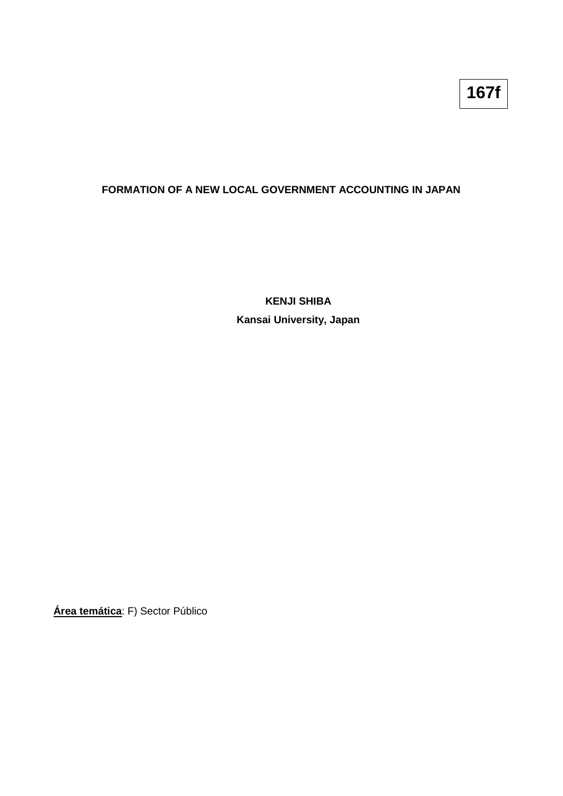## **FORMATION OF A NEW LOCAL GOVERNMENT ACCOUNTING IN JAPAN**

**KENJI SHIBA Kansai University, Japan**

**Área temática**: F) Sector Público